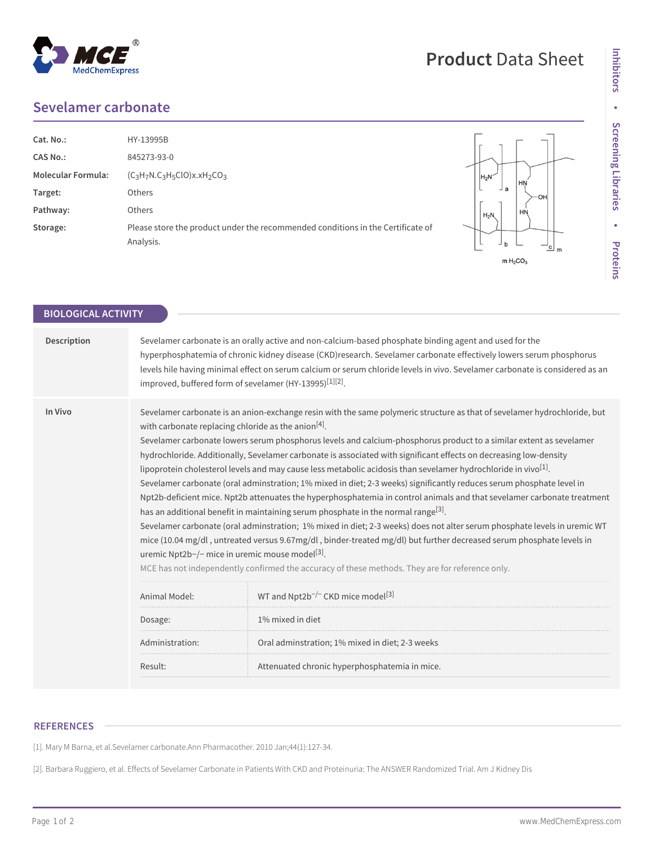## **Sevelamer carbonate**

**MedChemExpress** 

| Cat. No.:                 | HY-13995B                                                                                    |  |
|---------------------------|----------------------------------------------------------------------------------------------|--|
| CAS No.:                  | 845273-93-0                                                                                  |  |
| <b>Molecular Formula:</b> | $(C_3H_7N.C_3H_5ClO)x.xH_2CO_3$                                                              |  |
| Target:                   | <b>Others</b>                                                                                |  |
| Pathway:                  | <b>Others</b>                                                                                |  |
| Storage:                  | Please store the product under the recommended conditions in the Certificate of<br>Analysis. |  |



**Product** Data Sheet

| <b>BIOLOGICAL ACTIVITY</b> |                                                                                                                                |                                                                                                                                                                                                                                                                                                                                                                                                                                                                                                                                                                                                                                                                                                                                                                                                                                                                                                                                                                                                                                                                                                                                                                                                             |  |
|----------------------------|--------------------------------------------------------------------------------------------------------------------------------|-------------------------------------------------------------------------------------------------------------------------------------------------------------------------------------------------------------------------------------------------------------------------------------------------------------------------------------------------------------------------------------------------------------------------------------------------------------------------------------------------------------------------------------------------------------------------------------------------------------------------------------------------------------------------------------------------------------------------------------------------------------------------------------------------------------------------------------------------------------------------------------------------------------------------------------------------------------------------------------------------------------------------------------------------------------------------------------------------------------------------------------------------------------------------------------------------------------|--|
| Description                |                                                                                                                                | Sevelamer carbonate is an orally active and non-calcium-based phosphate binding agent and used for the<br>hyperphosphatemia of chronic kidney disease (CKD)research. Sevelamer carbonate effectively lowers serum phosphorus<br>levels hile having minimal effect on serum calcium or serum chloride levels in vivo. Sevelamer carbonate is considered as an<br>improved, buffered form of sevelamer (HY-13995) <sup>[1][2]</sup> .                                                                                                                                                                                                                                                                                                                                                                                                                                                                                                                                                                                                                                                                                                                                                                         |  |
| In Vivo                    | with carbonate replacing chloride as the anion <sup>[4]</sup> .<br>uremic Npt2b-/- mice in uremic mouse model <sup>[3]</sup> . | Sevelamer carbonate is an anion-exchange resin with the same polymeric structure as that of sevelamer hydrochloride, but<br>Sevelamer carbonate lowers serum phosphorus levels and calcium-phosphorus product to a similar extent as sevelamer<br>hydrochloride. Additionally, Sevelamer carbonate is associated with significant effects on decreasing low-density<br>lipoprotein cholesterol levels and may cause less metabolic acidosis than sevelamer hydrochloride in vivo <sup>[1]</sup> .<br>Sevelamer carbonate (oral adminstration; 1% mixed in diet; 2-3 weeks) significantly reduces serum phosphate level in<br>Npt2b-deficient mice. Npt2b attenuates the hyperphosphatemia in control animals and that sevelamer carbonate treatment<br>has an additional benefit in maintaining serum phosphate in the normal range <sup>[3]</sup> .<br>Sevelamer carbonate (oral adminstration; 1% mixed in diet; 2-3 weeks) does not alter serum phosphate levels in uremic WT<br>mice (10.04 mg/dl, untreated versus 9.67mg/dl, binder-treated mg/dl) but further decreased serum phosphate levels in<br>MCE has not independently confirmed the accuracy of these methods. They are for reference only. |  |
|                            | Animal Model:                                                                                                                  | WT and Npt2b <sup>-/-</sup> CKD mice model <sup>[3]</sup>                                                                                                                                                                                                                                                                                                                                                                                                                                                                                                                                                                                                                                                                                                                                                                                                                                                                                                                                                                                                                                                                                                                                                   |  |
|                            | Dosage:                                                                                                                        | 1% mixed in diet                                                                                                                                                                                                                                                                                                                                                                                                                                                                                                                                                                                                                                                                                                                                                                                                                                                                                                                                                                                                                                                                                                                                                                                            |  |
|                            | Administration:                                                                                                                | Oral adminstration; 1% mixed in diet; 2-3 weeks                                                                                                                                                                                                                                                                                                                                                                                                                                                                                                                                                                                                                                                                                                                                                                                                                                                                                                                                                                                                                                                                                                                                                             |  |
|                            | Result:                                                                                                                        | Attenuated chronic hyperphosphatemia in mice.                                                                                                                                                                                                                                                                                                                                                                                                                                                                                                                                                                                                                                                                                                                                                                                                                                                                                                                                                                                                                                                                                                                                                               |  |
|                            |                                                                                                                                |                                                                                                                                                                                                                                                                                                                                                                                                                                                                                                                                                                                                                                                                                                                                                                                                                                                                                                                                                                                                                                                                                                                                                                                                             |  |

## **REFERENCES**

[1]. Mary M Barna, et al.Sevelamer carbonate.Ann Pharmacother. 2010 Jan;44(1):127-34.

[2]. Barbara Ruggiero, et al. Effects of Sevelamer Carbonate in Patients With CKD and Proteinuria: The ANSWER Randomized Trial. Am J Kidney Dis